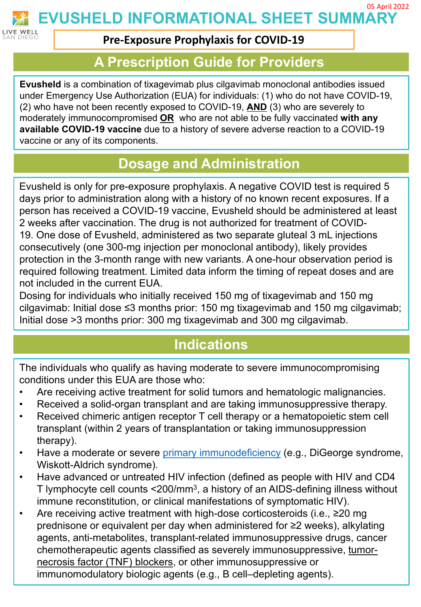

**EVUSHELD INFORMATIONAL SHEET SUMMARY** 05 April 2022

#### **Pre-Exposure Prophylaxis for COVID-19**

#### **A Prescription Guide for Providers**

**Evusheld** is a combination of tixagevimab plus cilgavimab monoclonal antibodies issued under Emergency Use Authorization (EUA) for individuals: (1) who do not have COVID-19, (2) who have not been recently exposed to COVID-19, **AND** (3) who are severely to moderately immunocompromised **OR** who are not able to be fully vaccinated **with any available COVID-19 vaccine** due to a history of severe adverse reaction to a COVID-19 vaccine or any of its components.

### **Dosage and Administration**

Evusheld is only for pre-exposure prophylaxis. A negative COVID test is required 5 days prior to administration along with a history of no known recent exposures. If a person has received a COVID-19 vaccine, Evusheld should be administered at least 2 weeks after vaccination. The drug is not authorized for treatment of COVID-19. One dose of Evusheld, administered as two separate gluteal 3 mL injections consecutively (one 300-mg injection per monoclonal antibody), likely provides protection in the 3-month range with new variants. A one-hour observation period is required following treatment. Limited data inform the timing of repeat doses and are not included in the current EUA.

Dosing for individuals who initially received 150 mg of tixagevimab and 150 mg cilgavimab: Initial dose ≤3 months prior: 150 mg tixagevimab and 150 mg cilgavimab; Initial dose >3 months prior: 300 mg tixagevimab and 300 mg cilgavimab.

### **Indications**

The individuals who qualify as having moderate to severe immunocompromising conditions under this EUA are those who:

- Are receiving active treatment for solid tumors and hematologic malignancies.
- Received a solid-organ transplant and are taking immunosuppressive therapy.
- Received chimeric antigen receptor T cell therapy or a hematopoietic stem cell transplant (within 2 years of transplantation or taking immunosuppression therapy).
- Have a moderate or severe [primary immunodeficiency](https://niad.nih.gov/diseases-conditions/types-pidds) (e.g., DiGeorge syndrome, Wiskott-Aldrich syndrome).
- Have advanced or untreated HIV infection (defined as people with HIV and CD4 T lymphocyte cell counts <200/mm3, a history of an AIDS-defining illness without immune reconstitution, or clinical manifestations of symptomatic HIV).
- Are receiving active treatment with high-dose corticosteroids (i.e., ≥20 mg prednisone or equivalent per day when administered for ≥2 weeks), alkylating agents, anti-metabolites, transplant-related immunosuppressive drugs, cancer chemotherapeutic agents classified as severely immunosuppressive, tumornecrosis factor (TNF) blockers, or other immunosuppressive or immunomodulatory biologic agents (e.g., B cell–depleting agents).